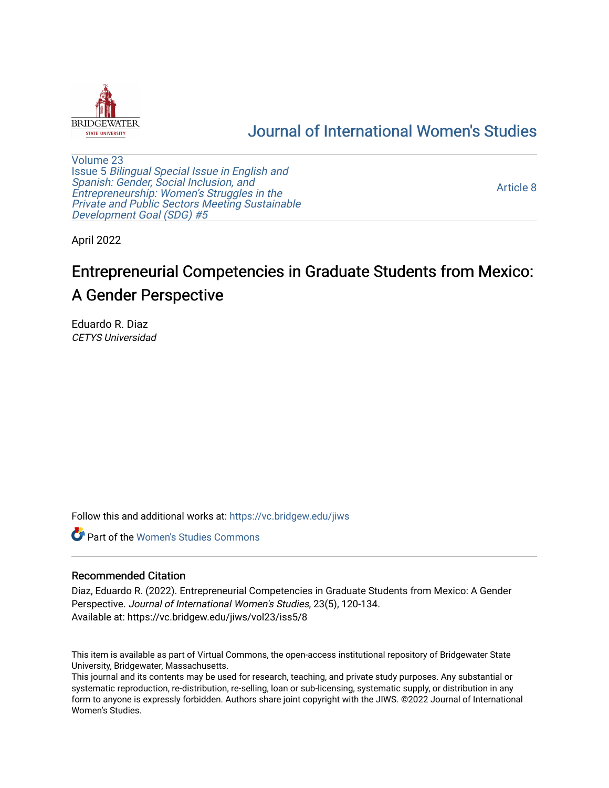

# [Journal of International Women's Studies](https://vc.bridgew.edu/jiws)

[Volume 23](https://vc.bridgew.edu/jiws/vol23) Issue 5 [Bilingual Special Issue in English and](https://vc.bridgew.edu/jiws/vol23/iss5)  [Spanish: Gender, Social Inclusion, and](https://vc.bridgew.edu/jiws/vol23/iss5)  [Entrepreneurship: Women's Struggles in the](https://vc.bridgew.edu/jiws/vol23/iss5)  [Private and Public Sectors Meeting Sustainable](https://vc.bridgew.edu/jiws/vol23/iss5) [Development Goal \(SDG\) #5](https://vc.bridgew.edu/jiws/vol23/iss5) 

[Article 8](https://vc.bridgew.edu/jiws/vol23/iss5/8) 

April 2022

# Entrepreneurial Competencies in Graduate Students from Mexico: A Gender Perspective

Eduardo R. Diaz CETYS Universidad

Follow this and additional works at: [https://vc.bridgew.edu/jiws](https://vc.bridgew.edu/jiws?utm_source=vc.bridgew.edu%2Fjiws%2Fvol23%2Fiss5%2F8&utm_medium=PDF&utm_campaign=PDFCoverPages)

**C** Part of the Women's Studies Commons

#### Recommended Citation

Diaz, Eduardo R. (2022). Entrepreneurial Competencies in Graduate Students from Mexico: A Gender Perspective. Journal of International Women's Studies, 23(5), 120-134. Available at: https://vc.bridgew.edu/jiws/vol23/iss5/8

This item is available as part of Virtual Commons, the open-access institutional repository of Bridgewater State University, Bridgewater, Massachusetts.

This journal and its contents may be used for research, teaching, and private study purposes. Any substantial or systematic reproduction, re-distribution, re-selling, loan or sub-licensing, systematic supply, or distribution in any form to anyone is expressly forbidden. Authors share joint copyright with the JIWS. ©2022 Journal of International Women's Studies.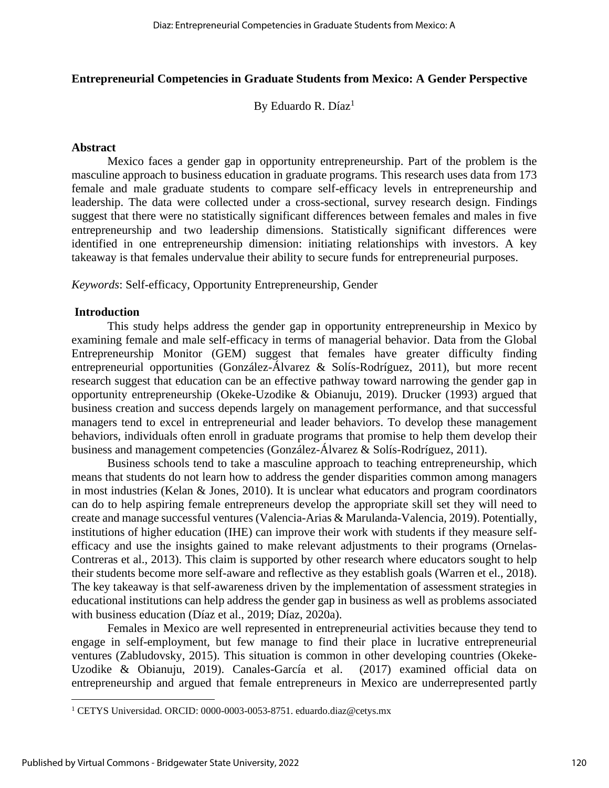# **Entrepreneurial Competencies in Graduate Students from Mexico: A Gender Perspective**

By Eduardo R. Díaz $<sup>1</sup>$ </sup>

## **Abstract**

Mexico faces a gender gap in opportunity entrepreneurship. Part of the problem is the masculine approach to business education in graduate programs. This research uses data from 173 female and male graduate students to compare self-efficacy levels in entrepreneurship and leadership. The data were collected under a cross-sectional, survey research design. Findings suggest that there were no statistically significant differences between females and males in five entrepreneurship and two leadership dimensions. Statistically significant differences were identified in one entrepreneurship dimension: initiating relationships with investors. A key takeaway is that females undervalue their ability to secure funds for entrepreneurial purposes.

*Keywords*: Self-efficacy, Opportunity Entrepreneurship, Gender

# **Introduction**

This study helps address the gender gap in opportunity entrepreneurship in Mexico by examining female and male self-efficacy in terms of managerial behavior. Data from the Global Entrepreneurship Monitor (GEM) suggest that females have greater difficulty finding entrepreneurial opportunities (González-Álvarez & Solís-Rodríguez, 2011), but more recent research suggest that education can be an effective pathway toward narrowing the gender gap in opportunity entrepreneurship (Okeke-Uzodike & Obianuju, 2019). Drucker (1993) argued that business creation and success depends largely on management performance, and that successful managers tend to excel in entrepreneurial and leader behaviors. To develop these management behaviors, individuals often enroll in graduate programs that promise to help them develop their business and management competencies (González-Álvarez & Solís-Rodríguez, 2011).

Business schools tend to take a masculine approach to teaching entrepreneurship, which means that students do not learn how to address the gender disparities common among managers in most industries (Kelan & Jones, 2010). It is unclear what educators and program coordinators can do to help aspiring female entrepreneurs develop the appropriate skill set they will need to create and manage successful ventures (Valencia-Arias & Marulanda-Valencia, 2019). Potentially, institutions of higher education (IHE) can improve their work with students if they measure selfefficacy and use the insights gained to make relevant adjustments to their programs (Ornelas-Contreras et al., 2013). This claim is supported by other research where educators sought to help their students become more self-aware and reflective as they establish goals (Warren et el., 2018). The key takeaway is that self-awareness driven by the implementation of assessment strategies in educational institutions can help address the gender gap in business as well as problems associated with business education (Díaz et al., 2019; Díaz, 2020a).

Females in Mexico are well represented in entrepreneurial activities because they tend to engage in self-employment, but few manage to find their place in lucrative entrepreneurial ventures (Zabludovsky, 2015). This situation is common in other developing countries (Okeke-Uzodike & Obianuju, 2019). Canales-García et al. (2017) examined official data on entrepreneurship and argued that female entrepreneurs in Mexico are underrepresented partly

<sup>&</sup>lt;sup>1</sup> CETYS Universidad. ORCID: 0000-0003-0053-8751. eduardo.diaz@cetys.mx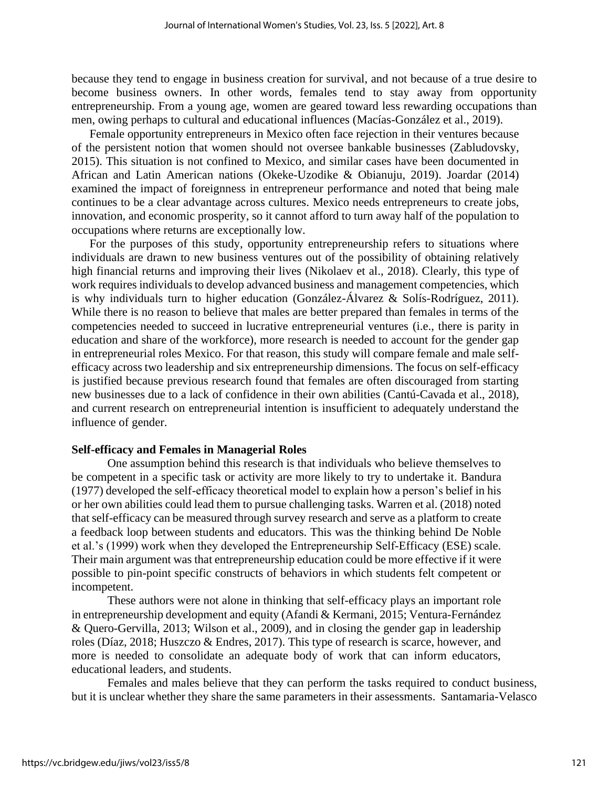because they tend to engage in business creation for survival, and not because of a true desire to become business owners. In other words, females tend to stay away from opportunity entrepreneurship. From a young age, women are geared toward less rewarding occupations than men, owing perhaps to cultural and educational influences (Macías-González et al., 2019).

Female opportunity entrepreneurs in Mexico often face rejection in their ventures because of the persistent notion that women should not oversee bankable businesses (Zabludovsky, 2015). This situation is not confined to Mexico, and similar cases have been documented in African and Latin American nations (Okeke-Uzodike & Obianuju, 2019). Joardar (2014) examined the impact of foreignness in entrepreneur performance and noted that being male continues to be a clear advantage across cultures. Mexico needs entrepreneurs to create jobs, innovation, and economic prosperity, so it cannot afford to turn away half of the population to occupations where returns are exceptionally low.

For the purposes of this study, opportunity entrepreneurship refers to situations where individuals are drawn to new business ventures out of the possibility of obtaining relatively high financial returns and improving their lives (Nikolaev et al., 2018). Clearly, this type of work requires individuals to develop advanced business and management competencies, which is why individuals turn to higher education (González-Álvarez & Solís-Rodríguez, 2011). While there is no reason to believe that males are better prepared than females in terms of the competencies needed to succeed in lucrative entrepreneurial ventures (i.e., there is parity in education and share of the workforce), more research is needed to account for the gender gap in entrepreneurial roles Mexico. For that reason, this study will compare female and male selfefficacy across two leadership and six entrepreneurship dimensions. The focus on self-efficacy is justified because previous research found that females are often discouraged from starting new businesses due to a lack of confidence in their own abilities (Cantú-Cavada et al., 2018), and current research on entrepreneurial intention is insufficient to adequately understand the influence of gender.

#### **Self-efficacy and Females in Managerial Roles**

One assumption behind this research is that individuals who believe themselves to be competent in a specific task or activity are more likely to try to undertake it. Bandura (1977) developed the self-efficacy theoretical model to explain how a person's belief in his or her own abilities could lead them to pursue challenging tasks. Warren et al. (2018) noted that self-efficacy can be measured through survey research and serve as a platform to create a feedback loop between students and educators. This was the thinking behind De Noble et al.'s (1999) work when they developed the Entrepreneurship Self-Efficacy (ESE) scale. Their main argument was that entrepreneurship education could be more effective if it were possible to pin-point specific constructs of behaviors in which students felt competent or incompetent.

These authors were not alone in thinking that self-efficacy plays an important role in entrepreneurship development and equity (Afandi & Kermani, 2015; Ventura-Fernández & Quero-Gervilla, 2013; Wilson et al., 2009), and in closing the gender gap in leadership roles (Díaz, 2018; Huszczo & Endres, 2017). This type of research is scarce, however, and more is needed to consolidate an adequate body of work that can inform educators, educational leaders, and students.

Females and males believe that they can perform the tasks required to conduct business, but it is unclear whether they share the same parameters in their assessments. Santamaria-Velasco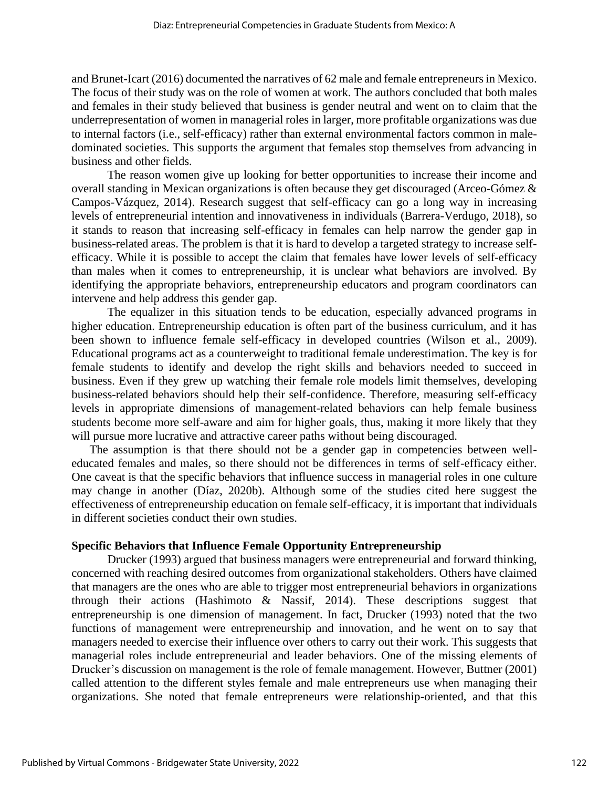and Brunet-Icart (2016) documented the narratives of 62 male and female entrepreneurs in Mexico. The focus of their study was on the role of women at work. The authors concluded that both males and females in their study believed that business is gender neutral and went on to claim that the underrepresentation of women in managerial roles in larger, more profitable organizations was due to internal factors (i.e., self-efficacy) rather than external environmental factors common in maledominated societies. This supports the argument that females stop themselves from advancing in business and other fields.

The reason women give up looking for better opportunities to increase their income and overall standing in Mexican organizations is often because they get discouraged (Arceo-Gómez & Campos-Vázquez, 2014). Research suggest that self-efficacy can go a long way in increasing levels of entrepreneurial intention and innovativeness in individuals (Barrera-Verdugo, 2018), so it stands to reason that increasing self-efficacy in females can help narrow the gender gap in business-related areas. The problem is that it is hard to develop a targeted strategy to increase selfefficacy. While it is possible to accept the claim that females have lower levels of self-efficacy than males when it comes to entrepreneurship, it is unclear what behaviors are involved. By identifying the appropriate behaviors, entrepreneurship educators and program coordinators can intervene and help address this gender gap.

The equalizer in this situation tends to be education, especially advanced programs in higher education. Entrepreneurship education is often part of the business curriculum, and it has been shown to influence female self-efficacy in developed countries (Wilson et al., 2009). Educational programs act as a counterweight to traditional female underestimation. The key is for female students to identify and develop the right skills and behaviors needed to succeed in business. Even if they grew up watching their female role models limit themselves, developing business-related behaviors should help their self-confidence. Therefore, measuring self-efficacy levels in appropriate dimensions of management-related behaviors can help female business students become more self-aware and aim for higher goals, thus, making it more likely that they will pursue more lucrative and attractive career paths without being discouraged.

The assumption is that there should not be a gender gap in competencies between welleducated females and males, so there should not be differences in terms of self-efficacy either. One caveat is that the specific behaviors that influence success in managerial roles in one culture may change in another (Díaz, 2020b). Although some of the studies cited here suggest the effectiveness of entrepreneurship education on female self-efficacy, it is important that individuals in different societies conduct their own studies.

# **Specific Behaviors that Influence Female Opportunity Entrepreneurship**

Drucker (1993) argued that business managers were entrepreneurial and forward thinking, concerned with reaching desired outcomes from organizational stakeholders. Others have claimed that managers are the ones who are able to trigger most entrepreneurial behaviors in organizations through their actions (Hashimoto & Nassif, 2014). These descriptions suggest that entrepreneurship is one dimension of management. In fact, Drucker (1993) noted that the two functions of management were entrepreneurship and innovation, and he went on to say that managers needed to exercise their influence over others to carry out their work. This suggests that managerial roles include entrepreneurial and leader behaviors. One of the missing elements of Drucker's discussion on management is the role of female management. However, Buttner (2001) called attention to the different styles female and male entrepreneurs use when managing their organizations. She noted that female entrepreneurs were relationship-oriented, and that this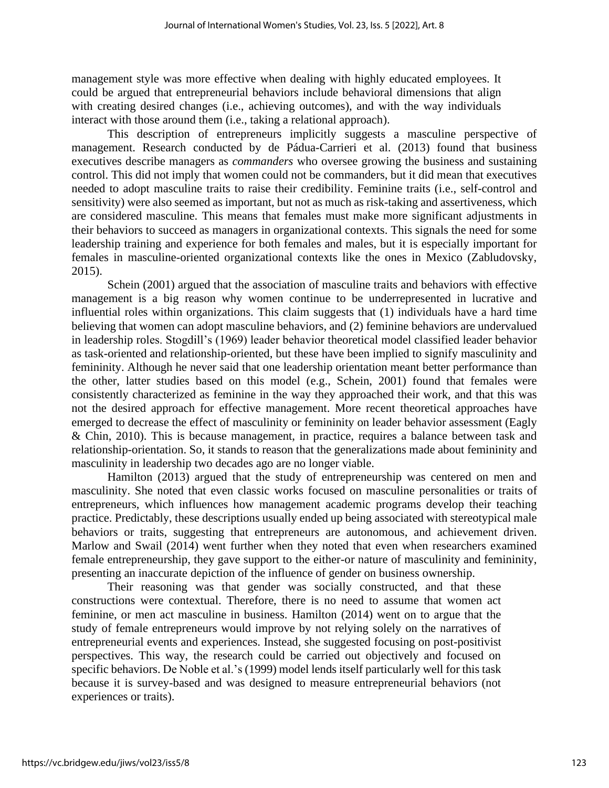management style was more effective when dealing with highly educated employees. It could be argued that entrepreneurial behaviors include behavioral dimensions that align with creating desired changes (i.e., achieving outcomes), and with the way individuals interact with those around them (i.e., taking a relational approach).

This description of entrepreneurs implicitly suggests a masculine perspective of management. Research conducted by de Pádua-Carrieri et al. (2013) found that business executives describe managers as *commanders* who oversee growing the business and sustaining control. This did not imply that women could not be commanders, but it did mean that executives needed to adopt masculine traits to raise their credibility. Feminine traits (i.e., self-control and sensitivity) were also seemed as important, but not as much as risk-taking and assertiveness, which are considered masculine. This means that females must make more significant adjustments in their behaviors to succeed as managers in organizational contexts. This signals the need for some leadership training and experience for both females and males, but it is especially important for females in masculine-oriented organizational contexts like the ones in Mexico (Zabludovsky, 2015).

Schein (2001) argued that the association of masculine traits and behaviors with effective management is a big reason why women continue to be underrepresented in lucrative and influential roles within organizations. This claim suggests that (1) individuals have a hard time believing that women can adopt masculine behaviors, and (2) feminine behaviors are undervalued in leadership roles. Stogdill's (1969) leader behavior theoretical model classified leader behavior as task-oriented and relationship-oriented, but these have been implied to signify masculinity and femininity. Although he never said that one leadership orientation meant better performance than the other, latter studies based on this model (e.g., Schein, 2001) found that females were consistently characterized as feminine in the way they approached their work, and that this was not the desired approach for effective management. More recent theoretical approaches have emerged to decrease the effect of masculinity or femininity on leader behavior assessment (Eagly & Chin, 2010). This is because management, in practice, requires a balance between task and relationship-orientation. So, it stands to reason that the generalizations made about femininity and masculinity in leadership two decades ago are no longer viable.

Hamilton (2013) argued that the study of entrepreneurship was centered on men and masculinity. She noted that even classic works focused on masculine personalities or traits of entrepreneurs, which influences how management academic programs develop their teaching practice. Predictably, these descriptions usually ended up being associated with stereotypical male behaviors or traits, suggesting that entrepreneurs are autonomous, and achievement driven. Marlow and Swail (2014) went further when they noted that even when researchers examined female entrepreneurship, they gave support to the either-or nature of masculinity and femininity, presenting an inaccurate depiction of the influence of gender on business ownership.

Their reasoning was that gender was socially constructed, and that these constructions were contextual. Therefore, there is no need to assume that women act feminine, or men act masculine in business. Hamilton (2014) went on to argue that the study of female entrepreneurs would improve by not relying solely on the narratives of entrepreneurial events and experiences. Instead, she suggested focusing on post-positivist perspectives. This way, the research could be carried out objectively and focused on specific behaviors. De Noble et al.'s (1999) model lends itself particularly well for this task because it is survey-based and was designed to measure entrepreneurial behaviors (not experiences or traits).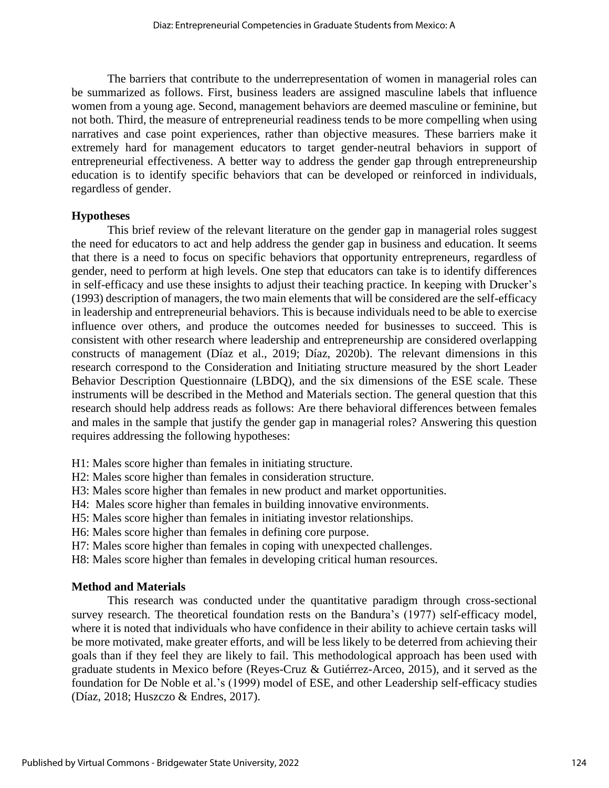The barriers that contribute to the underrepresentation of women in managerial roles can be summarized as follows. First, business leaders are assigned masculine labels that influence women from a young age. Second, management behaviors are deemed masculine or feminine, but not both. Third, the measure of entrepreneurial readiness tends to be more compelling when using narratives and case point experiences, rather than objective measures. These barriers make it extremely hard for management educators to target gender-neutral behaviors in support of entrepreneurial effectiveness. A better way to address the gender gap through entrepreneurship education is to identify specific behaviors that can be developed or reinforced in individuals, regardless of gender.

## **Hypotheses**

This brief review of the relevant literature on the gender gap in managerial roles suggest the need for educators to act and help address the gender gap in business and education. It seems that there is a need to focus on specific behaviors that opportunity entrepreneurs, regardless of gender, need to perform at high levels. One step that educators can take is to identify differences in self-efficacy and use these insights to adjust their teaching practice. In keeping with Drucker's (1993) description of managers, the two main elements that will be considered are the self-efficacy in leadership and entrepreneurial behaviors. This is because individuals need to be able to exercise influence over others, and produce the outcomes needed for businesses to succeed. This is consistent with other research where leadership and entrepreneurship are considered overlapping constructs of management (Díaz et al., 2019; Díaz, 2020b). The relevant dimensions in this research correspond to the Consideration and Initiating structure measured by the short Leader Behavior Description Questionnaire (LBDQ), and the six dimensions of the ESE scale. These instruments will be described in the Method and Materials section. The general question that this research should help address reads as follows: Are there behavioral differences between females and males in the sample that justify the gender gap in managerial roles? Answering this question requires addressing the following hypotheses:

H1: Males score higher than females in initiating structure.

H2: Males score higher than females in consideration structure.

H3: Males score higher than females in new product and market opportunities.

H4: Males score higher than females in building innovative environments.

H5: Males score higher than females in initiating investor relationships.

H6: Males score higher than females in defining core purpose.

H7: Males score higher than females in coping with unexpected challenges.

H8: Males score higher than females in developing critical human resources.

# **Method and Materials**

This research was conducted under the quantitative paradigm through cross-sectional survey research. The theoretical foundation rests on the Bandura's (1977) self-efficacy model, where it is noted that individuals who have confidence in their ability to achieve certain tasks will be more motivated, make greater efforts, and will be less likely to be deterred from achieving their goals than if they feel they are likely to fail. This methodological approach has been used with graduate students in Mexico before (Reyes-Cruz & Gutiérrez-Arceo, 2015), and it served as the foundation for De Noble et al.'s (1999) model of ESE, and other Leadership self-efficacy studies (Díaz, 2018; Huszczo & Endres, 2017).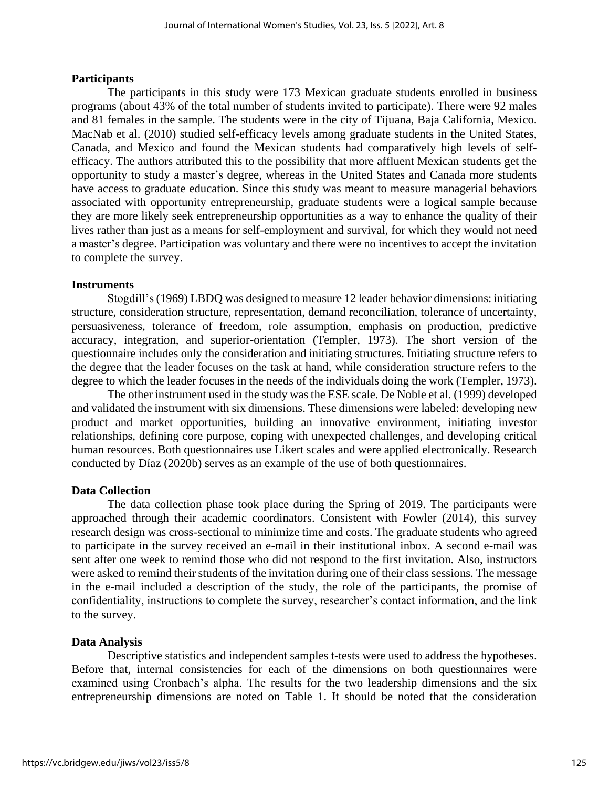#### **Participants**

The participants in this study were 173 Mexican graduate students enrolled in business programs (about 43% of the total number of students invited to participate). There were 92 males and 81 females in the sample. The students were in the city of Tijuana, Baja California, Mexico. MacNab et al. (2010) studied self-efficacy levels among graduate students in the United States, Canada, and Mexico and found the Mexican students had comparatively high levels of selfefficacy. The authors attributed this to the possibility that more affluent Mexican students get the opportunity to study a master's degree, whereas in the United States and Canada more students have access to graduate education. Since this study was meant to measure managerial behaviors associated with opportunity entrepreneurship, graduate students were a logical sample because they are more likely seek entrepreneurship opportunities as a way to enhance the quality of their lives rather than just as a means for self-employment and survival, for which they would not need a master's degree. Participation was voluntary and there were no incentives to accept the invitation to complete the survey.

#### **Instruments**

Stogdill's (1969) LBDQ was designed to measure 12 leader behavior dimensions: initiating structure, consideration structure, representation, demand reconciliation, tolerance of uncertainty, persuasiveness, tolerance of freedom, role assumption, emphasis on production, predictive accuracy, integration, and superior-orientation (Templer, 1973). The short version of the questionnaire includes only the consideration and initiating structures. Initiating structure refers to the degree that the leader focuses on the task at hand, while consideration structure refers to the degree to which the leader focuses in the needs of the individuals doing the work (Templer, 1973).

The other instrument used in the study was the ESE scale. De Noble et al. (1999) developed and validated the instrument with six dimensions. These dimensions were labeled: developing new product and market opportunities, building an innovative environment, initiating investor relationships, defining core purpose, coping with unexpected challenges, and developing critical human resources. Both questionnaires use Likert scales and were applied electronically. Research conducted by Díaz (2020b) serves as an example of the use of both questionnaires.

#### **Data Collection**

The data collection phase took place during the Spring of 2019. The participants were approached through their academic coordinators. Consistent with Fowler (2014), this survey research design was cross-sectional to minimize time and costs. The graduate students who agreed to participate in the survey received an e-mail in their institutional inbox. A second e-mail was sent after one week to remind those who did not respond to the first invitation. Also, instructors were asked to remind their students of the invitation during one of their class sessions. The message in the e-mail included a description of the study, the role of the participants, the promise of confidentiality, instructions to complete the survey, researcher's contact information, and the link to the survey.

#### **Data Analysis**

Descriptive statistics and independent samples t-tests were used to address the hypotheses. Before that, internal consistencies for each of the dimensions on both questionnaires were examined using Cronbach's alpha. The results for the two leadership dimensions and the six entrepreneurship dimensions are noted on Table 1. It should be noted that the consideration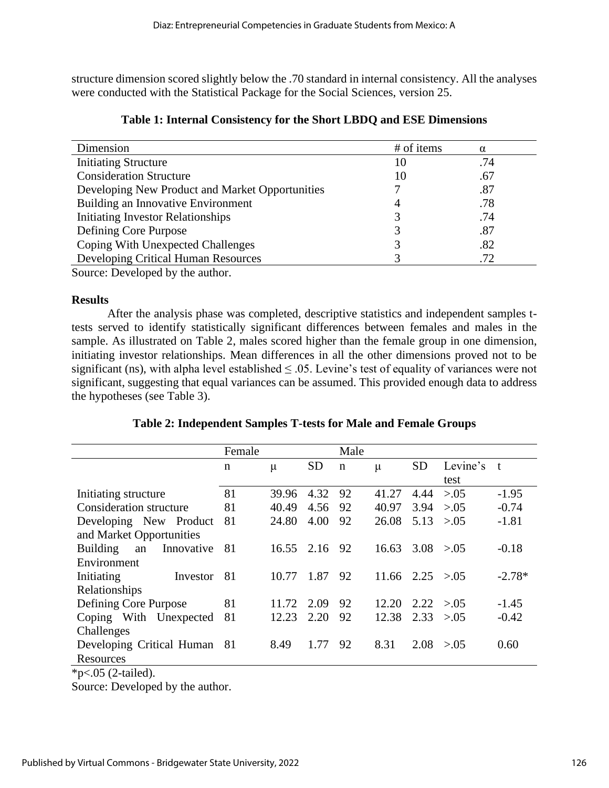structure dimension scored slightly below the .70 standard in internal consistency. All the analyses were conducted with the Statistical Package for the Social Sciences, version 25.

| Dimension                                       | # of items | $\alpha$ |
|-------------------------------------------------|------------|----------|
| <b>Initiating Structure</b>                     | 10         | .74      |
| <b>Consideration Structure</b>                  | 10         | .67      |
| Developing New Product and Market Opportunities |            | .87      |
| Building an Innovative Environment              | 4          | .78      |
| <b>Initiating Investor Relationships</b>        |            | .74      |
| Defining Core Purpose                           |            | .87      |
| Coping With Unexpected Challenges               |            | .82      |
| Developing Critical Human Resources             |            | .72      |
| $\alpha$ $\mathbb{R}$ 1 1 1 1                   |            |          |

|  |  |  |  | Table 1: Internal Consistency for the Short LBDQ and ESE Dimensions |
|--|--|--|--|---------------------------------------------------------------------|
|--|--|--|--|---------------------------------------------------------------------|

Source: Developed by the author.

# **Results**

After the analysis phase was completed, descriptive statistics and independent samples ttests served to identify statistically significant differences between females and males in the sample. As illustrated on Table 2, males scored higher than the female group in one dimension, initiating investor relationships. Mean differences in all the other dimensions proved not to be significant (ns), with alpha level established  $\leq$  0.05. Levine's test of equality of variances were not significant, suggesting that equal variances can be assumed. This provided enough data to address the hypotheses (see Table 3).

| Table 2: Independent Samples T-tests for Male and Female Groups |  |  |
|-----------------------------------------------------------------|--|--|
|-----------------------------------------------------------------|--|--|

|                                | Female |            |           | Male        |                        |           |          |          |
|--------------------------------|--------|------------|-----------|-------------|------------------------|-----------|----------|----------|
|                                | n      | μ          | <b>SD</b> | $\mathbf n$ | $\mu$                  | <b>SD</b> | Levine's | t        |
|                                |        |            |           |             |                        |           | test     |          |
| Initiating structure           | 81     | 39.96      | 4.32      | 92          | 41.27                  | 4.44      | > 0.05   | $-1.95$  |
| <b>Consideration structure</b> | 81     | 40.49      | 4.56      | 92          | 40.97                  | 3.94      | > 0.05   | $-0.74$  |
| Developing New Product         | 81     | 24.80      | 4.00      | 92          | 26.08                  | 5.13      | > 0.05   | $-1.81$  |
| and Market Opportunities       |        |            |           |             |                        |           |          |          |
| Building<br>Innovative<br>an   | 81     | 16.55 2.16 |           | 92          | 16.63                  | 3.08      | > 0.05   | $-0.18$  |
| Environment                    |        |            |           |             |                        |           |          |          |
| Initiating<br>Investor         | 81     | 10.77      | 1.87      | 92          | $11.66$ $2.25$ $>0.05$ |           |          | $-2.78*$ |
| Relationships                  |        |            |           |             |                        |           |          |          |
| Defining Core Purpose          | 81     | 11.72      | 2.09      | 92          | 12.20                  | 2.22      | > 0.05   | $-1.45$  |
| Coping With Unexpected         | 81     | 12.23      | 2.20      | 92          | 12.38                  | 2.33      | > 0.05   | $-0.42$  |
| Challenges                     |        |            |           |             |                        |           |          |          |
| Developing Critical Human      | -81    | 8.49       | 1.77      | 92          | 8.31                   | 2.08      | > 0.05   | 0.60     |
| Resources                      |        |            |           |             |                        |           |          |          |

\*p<.05 (2-tailed).

Source: Developed by the author.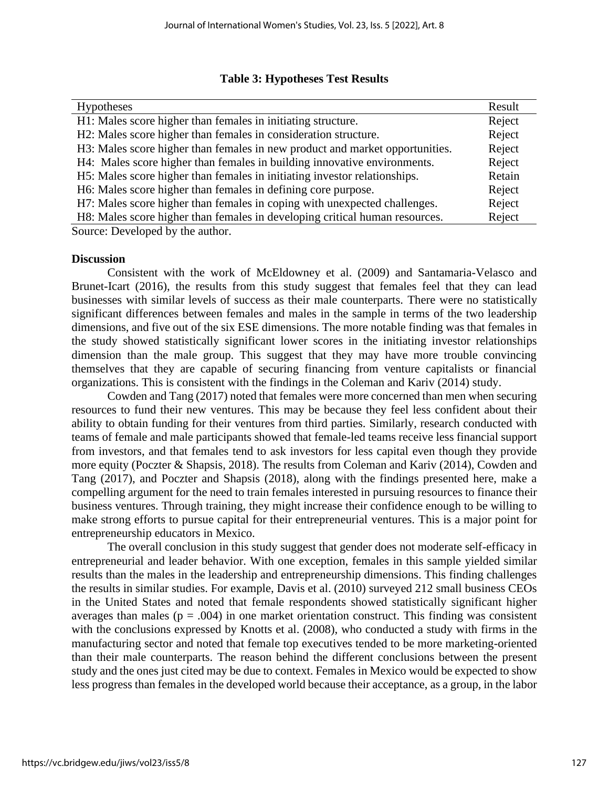|  | <b>Table 3: Hypotheses Test Results</b> |  |  |
|--|-----------------------------------------|--|--|
|--|-----------------------------------------|--|--|

| <b>Hypotheses</b>                                                            | Result |
|------------------------------------------------------------------------------|--------|
| H1: Males score higher than females in initiating structure.                 | Reject |
| H2: Males score higher than females in consideration structure.              | Reject |
| H3: Males score higher than females in new product and market opportunities. | Reject |
| H4: Males score higher than females in building innovative environments.     | Reject |
| H5: Males score higher than females in initiating investor relationships.    | Retain |
| H6: Males score higher than females in defining core purpose.                | Reject |
| H7: Males score higher than females in coping with unexpected challenges.    | Reject |
| H8: Males score higher than females in developing critical human resources.  | Reject |
| Source: Developed by the author.                                             |        |

#### **Discussion**

Consistent with the work of McEldowney et al. (2009) and Santamaria-Velasco and Brunet-Icart (2016), the results from this study suggest that females feel that they can lead businesses with similar levels of success as their male counterparts. There were no statistically significant differences between females and males in the sample in terms of the two leadership dimensions, and five out of the six ESE dimensions. The more notable finding was that females in the study showed statistically significant lower scores in the initiating investor relationships dimension than the male group. This suggest that they may have more trouble convincing themselves that they are capable of securing financing from venture capitalists or financial organizations. This is consistent with the findings in the Coleman and Kariv (2014) study.

Cowden and Tang (2017) noted that females were more concerned than men when securing resources to fund their new ventures. This may be because they feel less confident about their ability to obtain funding for their ventures from third parties. Similarly, research conducted with teams of female and male participants showed that female-led teams receive less financial support from investors, and that females tend to ask investors for less capital even though they provide more equity (Poczter & Shapsis, 2018). The results from Coleman and Kariv (2014), Cowden and Tang (2017), and Poczter and Shapsis (2018), along with the findings presented here, make a compelling argument for the need to train females interested in pursuing resources to finance their business ventures. Through training, they might increase their confidence enough to be willing to make strong efforts to pursue capital for their entrepreneurial ventures. This is a major point for entrepreneurship educators in Mexico.

The overall conclusion in this study suggest that gender does not moderate self-efficacy in entrepreneurial and leader behavior. With one exception, females in this sample yielded similar results than the males in the leadership and entrepreneurship dimensions. This finding challenges the results in similar studies. For example, Davis et al. (2010) surveyed 212 small business CEOs in the United States and noted that female respondents showed statistically significant higher averages than males ( $p = .004$ ) in one market orientation construct. This finding was consistent with the conclusions expressed by Knotts et al. (2008), who conducted a study with firms in the manufacturing sector and noted that female top executives tended to be more marketing-oriented than their male counterparts. The reason behind the different conclusions between the present study and the ones just cited may be due to context. Females in Mexico would be expected to show less progress than females in the developed world because their acceptance, as a group, in the labor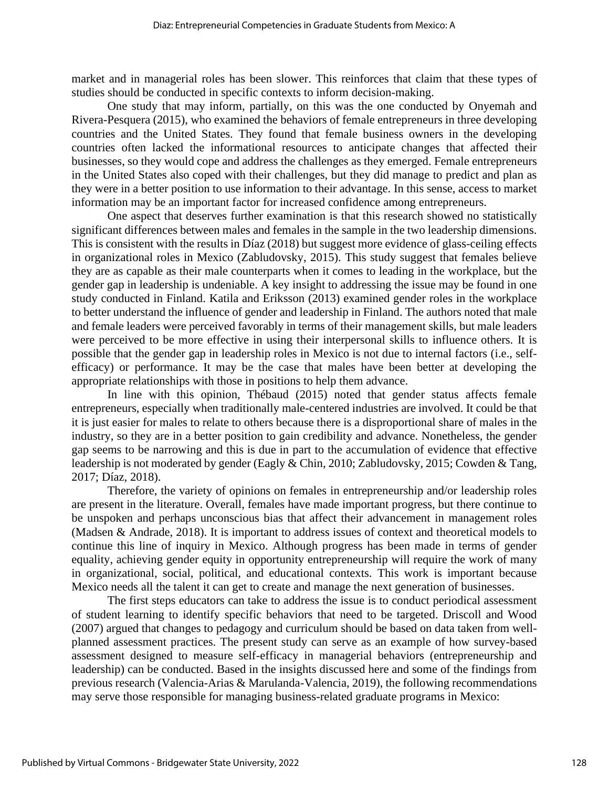market and in managerial roles has been slower. This reinforces that claim that these types of studies should be conducted in specific contexts to inform decision-making.

One study that may inform, partially, on this was the one conducted by Onyemah and Rivera-Pesquera (2015), who examined the behaviors of female entrepreneurs in three developing countries and the United States. They found that female business owners in the developing countries often lacked the informational resources to anticipate changes that affected their businesses, so they would cope and address the challenges as they emerged. Female entrepreneurs in the United States also coped with their challenges, but they did manage to predict and plan as they were in a better position to use information to their advantage. In this sense, access to market information may be an important factor for increased confidence among entrepreneurs.

One aspect that deserves further examination is that this research showed no statistically significant differences between males and females in the sample in the two leadership dimensions. This is consistent with the results in Díaz (2018) but suggest more evidence of glass-ceiling effects in organizational roles in Mexico (Zabludovsky, 2015). This study suggest that females believe they are as capable as their male counterparts when it comes to leading in the workplace, but the gender gap in leadership is undeniable. A key insight to addressing the issue may be found in one study conducted in Finland. Katila and Eriksson (2013) examined gender roles in the workplace to better understand the influence of gender and leadership in Finland. The authors noted that male and female leaders were perceived favorably in terms of their management skills, but male leaders were perceived to be more effective in using their interpersonal skills to influence others. It is possible that the gender gap in leadership roles in Mexico is not due to internal factors (i.e., selfefficacy) or performance. It may be the case that males have been better at developing the appropriate relationships with those in positions to help them advance.

In line with this opinion, Thébaud (2015) noted that gender status affects female entrepreneurs, especially when traditionally male-centered industries are involved. It could be that it is just easier for males to relate to others because there is a disproportional share of males in the industry, so they are in a better position to gain credibility and advance. Nonetheless, the gender gap seems to be narrowing and this is due in part to the accumulation of evidence that effective leadership is not moderated by gender (Eagly & Chin, 2010; Zabludovsky, 2015; Cowden & Tang, 2017; Díaz, 2018).

Therefore, the variety of opinions on females in entrepreneurship and/or leadership roles are present in the literature. Overall, females have made important progress, but there continue to be unspoken and perhaps unconscious bias that affect their advancement in management roles (Madsen & Andrade, 2018). It is important to address issues of context and theoretical models to continue this line of inquiry in Mexico. Although progress has been made in terms of gender equality, achieving gender equity in opportunity entrepreneurship will require the work of many in organizational, social, political, and educational contexts. This work is important because Mexico needs all the talent it can get to create and manage the next generation of businesses.

The first steps educators can take to address the issue is to conduct periodical assessment of student learning to identify specific behaviors that need to be targeted. Driscoll and Wood (2007) argued that changes to pedagogy and curriculum should be based on data taken from wellplanned assessment practices. The present study can serve as an example of how survey-based assessment designed to measure self-efficacy in managerial behaviors (entrepreneurship and leadership) can be conducted. Based in the insights discussed here and some of the findings from previous research (Valencia-Arias & Marulanda-Valencia, 2019), the following recommendations may serve those responsible for managing business-related graduate programs in Mexico: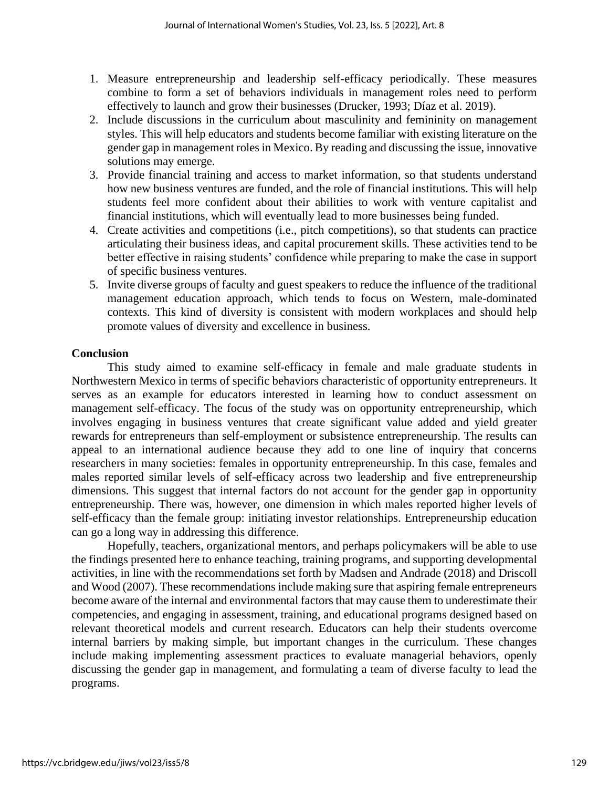- 1. Measure entrepreneurship and leadership self-efficacy periodically. These measures combine to form a set of behaviors individuals in management roles need to perform effectively to launch and grow their businesses (Drucker, 1993; Díaz et al. 2019).
- 2. Include discussions in the curriculum about masculinity and femininity on management styles. This will help educators and students become familiar with existing literature on the gender gap in management roles in Mexico. By reading and discussing the issue, innovative solutions may emerge.
- 3. Provide financial training and access to market information, so that students understand how new business ventures are funded, and the role of financial institutions. This will help students feel more confident about their abilities to work with venture capitalist and financial institutions, which will eventually lead to more businesses being funded.
- 4. Create activities and competitions (i.e., pitch competitions), so that students can practice articulating their business ideas, and capital procurement skills. These activities tend to be better effective in raising students' confidence while preparing to make the case in support of specific business ventures.
- 5. Invite diverse groups of faculty and guest speakers to reduce the influence of the traditional management education approach, which tends to focus on Western, male-dominated contexts. This kind of diversity is consistent with modern workplaces and should help promote values of diversity and excellence in business.

# **Conclusion**

This study aimed to examine self-efficacy in female and male graduate students in Northwestern Mexico in terms of specific behaviors characteristic of opportunity entrepreneurs. It serves as an example for educators interested in learning how to conduct assessment on management self-efficacy. The focus of the study was on opportunity entrepreneurship, which involves engaging in business ventures that create significant value added and yield greater rewards for entrepreneurs than self-employment or subsistence entrepreneurship. The results can appeal to an international audience because they add to one line of inquiry that concerns researchers in many societies: females in opportunity entrepreneurship. In this case, females and males reported similar levels of self-efficacy across two leadership and five entrepreneurship dimensions. This suggest that internal factors do not account for the gender gap in opportunity entrepreneurship. There was, however, one dimension in which males reported higher levels of self-efficacy than the female group: initiating investor relationships. Entrepreneurship education can go a long way in addressing this difference.

Hopefully, teachers, organizational mentors, and perhaps policymakers will be able to use the findings presented here to enhance teaching, training programs, and supporting developmental activities, in line with the recommendations set forth by Madsen and Andrade (2018) and Driscoll and Wood (2007). These recommendations include making sure that aspiring female entrepreneurs become aware of the internal and environmental factors that may cause them to underestimate their competencies, and engaging in assessment, training, and educational programs designed based on relevant theoretical models and current research. Educators can help their students overcome internal barriers by making simple, but important changes in the curriculum. These changes include making implementing assessment practices to evaluate managerial behaviors, openly discussing the gender gap in management, and formulating a team of diverse faculty to lead the programs.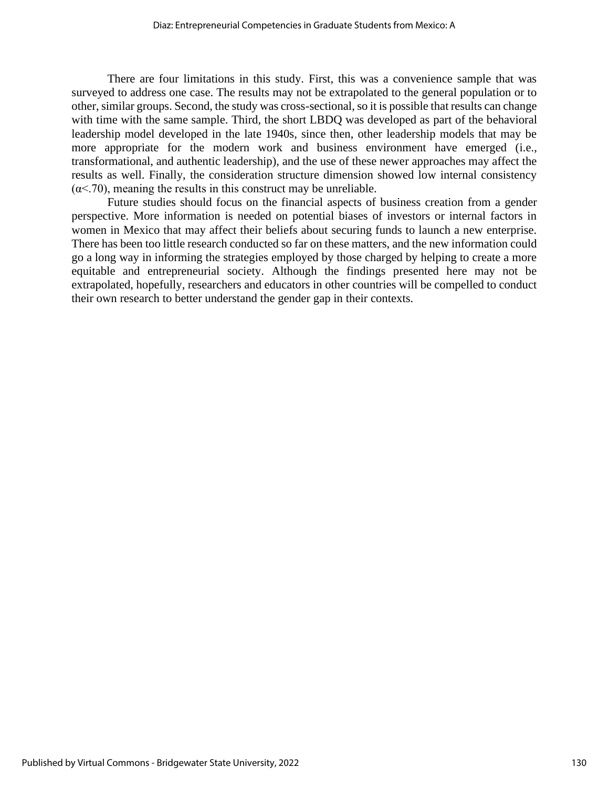There are four limitations in this study. First, this was a convenience sample that was surveyed to address one case. The results may not be extrapolated to the general population or to other, similar groups. Second, the study was cross-sectional, so it is possible that results can change with time with the same sample. Third, the short LBDQ was developed as part of the behavioral leadership model developed in the late 1940s, since then, other leadership models that may be more appropriate for the modern work and business environment have emerged (i.e., transformational, and authentic leadership), and the use of these newer approaches may affect the results as well. Finally, the consideration structure dimension showed low internal consistency  $(\alpha < 70)$ , meaning the results in this construct may be unreliable.

Future studies should focus on the financial aspects of business creation from a gender perspective. More information is needed on potential biases of investors or internal factors in women in Mexico that may affect their beliefs about securing funds to launch a new enterprise. There has been too little research conducted so far on these matters, and the new information could go a long way in informing the strategies employed by those charged by helping to create a more equitable and entrepreneurial society. Although the findings presented here may not be extrapolated, hopefully, researchers and educators in other countries will be compelled to conduct their own research to better understand the gender gap in their contexts.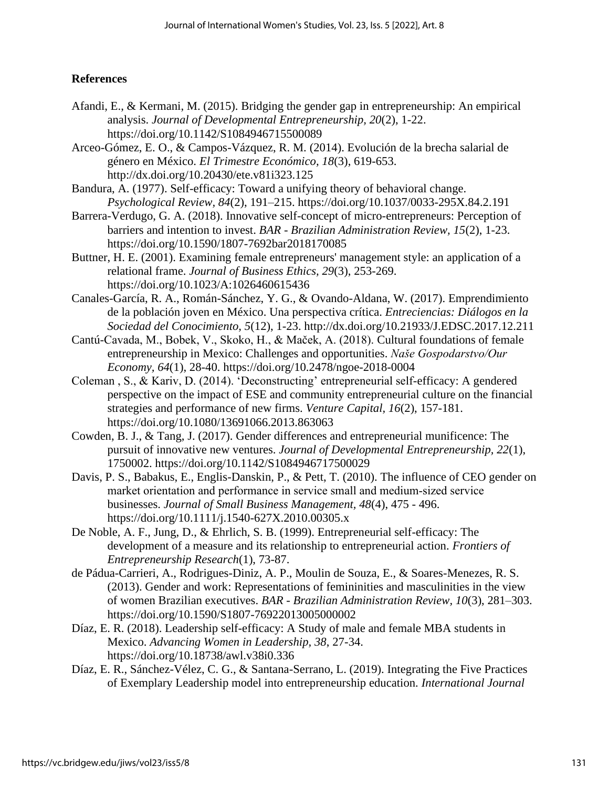# **References**

- Afandi, E., & Kermani, M. (2015). Bridging the gender gap in entrepreneurship: An empirical analysis. *Journal of Developmental Entrepreneurship, 20*(2), 1-22. https://doi.org/10.1142/S1084946715500089
- Arceo-Gómez, E. O., & Campos-Vázquez, R. M. (2014). Evolución de la brecha salarial de género en México. *El Trimestre Económico, 18*(3), 619-653. http://dx.doi.org/10.20430/ete.v81i323.125
- Bandura, A. (1977). Self-efficacy: Toward a unifying theory of behavioral change. *Psychological Review, 84*(2), 191–215. https://doi.org/10.1037/0033-295X.84.2.191
- Barrera-Verdugo, G. A. (2018). Innovative self-concept of micro-entrepreneurs: Perception of barriers and intention to invest. *BAR - Brazilian Administration Review, 15*(2), 1-23. https://doi.org/10.1590/1807-7692bar2018170085
- Buttner, H. E. (2001). Examining female entrepreneurs' management style: an application of a relational frame. *Journal of Business Ethics, 29*(3), 253-269. https://doi.org/10.1023/A:1026460615436
- Canales-García, R. A., Román-Sánchez, Y. G., & Ovando-Aldana, W. (2017). Emprendimiento de la población joven en México. Una perspectiva crítica. *Entreciencias: Diálogos en la Sociedad del Conocimiento, 5*(12), 1-23. http://dx.doi.org/10.21933/J.EDSC.2017.12.211
- Cantú-Cavada, M., Bobek, V., Skoko, H., & Maček, A. (2018). Cultural foundations of female entrepreneurship in Mexico: Challenges and opportunities. *Naše Gospodarstvo/Our Economy, 64*(1), 28-40. https://doi.org/10.2478/ngoe-2018-0004
- Coleman , S., & Kariv, D. (2014). 'Deconstructing' entrepreneurial self-efficacy: A gendered perspective on the impact of ESE and community entrepreneurial culture on the financial strategies and performance of new firms. *Venture Capital, 16*(2), 157-181. https://doi.org/10.1080/13691066.2013.863063
- Cowden, B. J., & Tang, J. (2017). Gender differences and entrepreneurial munificence: The pursuit of innovative new ventures. *Journal of Developmental Entrepreneurship, 22*(1), 1750002. https://doi.org/10.1142/S1084946717500029
- Davis, P. S., Babakus, E., Englis-Danskin, P., & Pett, T. (2010). The influence of CEO gender on market orientation and performance in service small and medium‐sized service businesses. *Journal of Small Business Management, 48*(4), 475 - 496. https://doi.org/10.1111/j.1540-627X.2010.00305.x
- De Noble, A. F., Jung, D., & Ehrlich, S. B. (1999). Entrepreneurial self-efficacy: The development of a measure and its relationship to entrepreneurial action. *Frontiers of Entrepreneurship Research*(1), 73-87.
- de Pádua-Carrieri, A., Rodrigues-Diniz, A. P., Moulin de Souza, E., & Soares-Menezes, R. S. (2013). Gender and work: Representations of femininities and masculinities in the view of women Brazilian executives. *BAR - Brazilian Administration Review, 10*(3), 281–303. https://doi.org/10.1590/S1807-76922013005000002
- Díaz, E. R. (2018). Leadership self-efficacy: A Study of male and female MBA students in Mexico. *Advancing Women in Leadership, 38*, 27-34. https://doi.org/10.18738/awl.v38i0.336
- Díaz, E. R., Sánchez-Vélez, C. G., & Santana-Serrano, L. (2019). Integrating the Five Practices of Exemplary Leadership model into entrepreneurship education. *International Journal*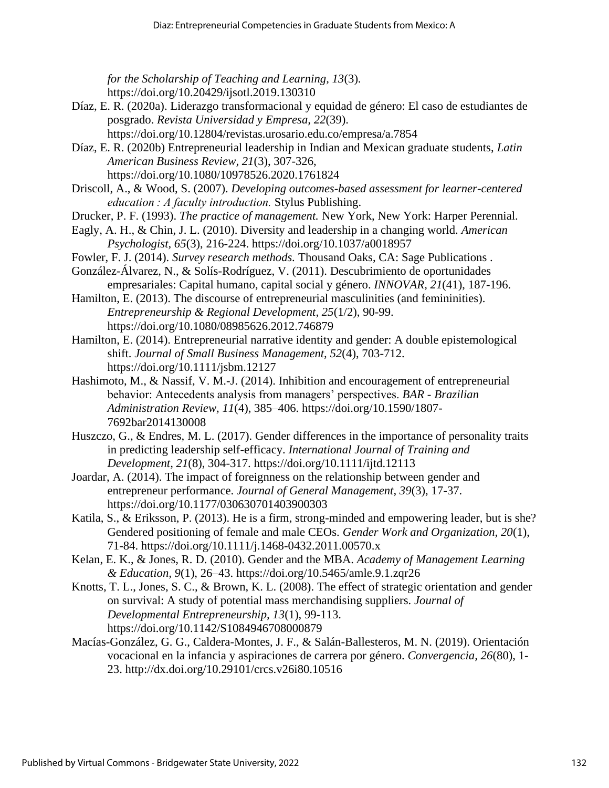*for the Scholarship of Teaching and Learning, 13*(3). https://doi.org/10.20429/ijsotl.2019.130310

- Díaz, E. R. (2020a). Liderazgo transformacional y equidad de género: El caso de estudiantes de posgrado. *Revista Universidad y Empresa, 22*(39).
	- https://doi.org/10.12804/revistas.urosario.edu.co/empresa/a.7854
- Díaz, E. R. (2020b) Entrepreneurial leadership in Indian and Mexican graduate students, *Latin American Business Review, 21*(3), 307-326,
	- https://doi.org/10.1080/10978526.2020.1761824
- Driscoll, A., & Wood, S. (2007). *Developing outcomes-based assessment for learner-centered education : A faculty introduction.* Stylus Publishing.
- Drucker, P. F. (1993). *The practice of management.* New York, New York: Harper Perennial.
- Eagly, A. H., & Chin, J. L. (2010). Diversity and leadership in a changing world. *American Psychologist, 65*(3), 216-224. https://doi.org/10.1037/a0018957
- Fowler, F. J. (2014). *Survey research methods.* Thousand Oaks, CA: Sage Publications .
- González-Álvarez, N., & Solís-Rodríguez, V. (2011). Descubrimiento de oportunidades empresariales: Capital humano, capital social y género. *INNOVAR, 21*(41), 187-196.
- Hamilton, E. (2013). The discourse of entrepreneurial masculinities (and femininities). *Entrepreneurship & Regional Development, 25*(1/2), 90-99. https://doi.org/10.1080/08985626.2012.746879
- Hamilton, E. (2014). Entrepreneurial narrative identity and gender: A double epistemological shift. *Journal of Small Business Management, 52*(4), 703-712. https://doi.org/10.1111/jsbm.12127
- Hashimoto, M., & Nassif, V. M.-J. (2014). Inhibition and encouragement of entrepreneurial behavior: Antecedents analysis from managers' perspectives. *BAR - Brazilian Administration Review, 11*(4), 385–406. https://doi.org/10.1590/1807- 7692bar2014130008
- Huszczo, G., & Endres, M. L. (2017). Gender differences in the importance of personality traits in predicting leadership self-efficacy. *International Journal of Training and Development, 21*(8), 304-317. https://doi.org/10.1111/ijtd.12113
- Joardar, A. (2014). The impact of foreignness on the relationship between gender and entrepreneur performance. *Journal of General Management, 39*(3), 17-37. https://doi.org/10.1177/030630701403900303
- Katila, S., & Eriksson, P. (2013). He is a firm, strong-minded and empowering leader, but is she? Gendered positioning of female and male CEOs. *Gender Work and Organization, 20*(1), 71-84. https://doi.org/10.1111/j.1468-0432.2011.00570.x
- Kelan, E. K., & Jones, R. D. (2010). Gender and the MBA. *Academy of Management Learning & Education, 9*(1), 26–43. https://doi.org/10.5465/amle.9.1.zqr26
- Knotts, T. L., Jones, S. C., & Brown, K. L. (2008). The effect of strategic orientation and gender on survival: A study of potential mass merchandising suppliers. *Journal of Developmental Entrepreneurship, 13*(1), 99-113. https://doi.org/10.1142/S1084946708000879
- Macías-González, G. G., Caldera-Montes, J. F., & Salán-Ballesteros, M. N. (2019). Orientación vocacional en la infancia y aspiraciones de carrera por género. *Convergencia, 26*(80), 1- 23. http://dx.doi.org/10.29101/crcs.v26i80.10516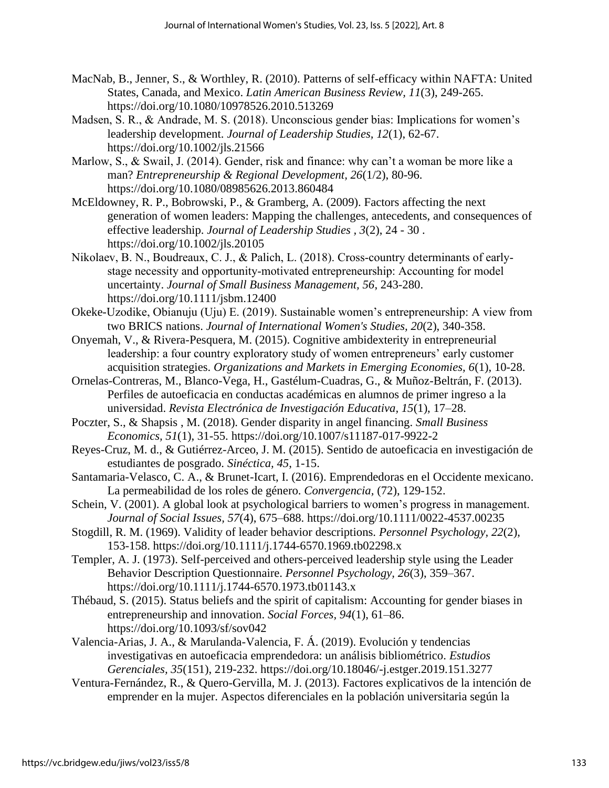- MacNab, B., Jenner, S., & Worthley, R. (2010). Patterns of self-efficacy within NAFTA: United States, Canada, and Mexico. *Latin American Business Review, 11*(3), 249-265. https://doi.org/10.1080/10978526.2010.513269
- Madsen, S. R., & Andrade, M. S. (2018). Unconscious gender bias: Implications for women's leadership development. *Journal of Leadership Studies, 12*(1), 62-67. https://doi.org/10.1002/jls.21566
- Marlow, S., & Swail, J. (2014). Gender, risk and finance: why can't a woman be more like a man? *Entrepreneurship & Regional Development, 26*(1/2), 80-96. https://doi.org/10.1080/08985626.2013.860484
- McEldowney, R. P., Bobrowski, P., & Gramberg, A. (2009). Factors affecting the next generation of women leaders: Mapping the challenges, antecedents, and consequences of effective leadership. *Journal of Leadership Studies , 3*(2), 24 - 30 . https://doi.org/10.1002/jls.20105
- Nikolaev, B. N., Boudreaux, C. J., & Palich, L. (2018). Cross-country determinants of earlystage necessity and opportunity‐motivated entrepreneurship: Accounting for model uncertainty. *Journal of Small Business Management, 56*, 243-280. https://doi.org/10.1111/jsbm.12400
- Okeke-Uzodike, Obianuju (Uju) E. (2019). Sustainable women's entrepreneurship: A view from two BRICS nations. *Journal of International Women's Studies, 20*(2), 340-358.
- Onyemah, V., & Rivera-Pesquera, M. (2015). Cognitive ambidexterity in entrepreneurial leadership: a four country exploratory study of women entrepreneurs' early customer acquisition strategies. *Organizations and Markets in Emerging Economies, 6*(1), 10-28.
- Ornelas-Contreras, M., Blanco-Vega, H., Gastélum-Cuadras, G., & Muñoz-Beltrán, F. (2013). Perfiles de autoeficacia en conductas académicas en alumnos de primer ingreso a la universidad. *Revista Electrónica de Investigación Educativa, 15*(1), 17–28.
- Poczter, S., & Shapsis , M. (2018). Gender disparity in angel financing. *Small Business Economics, 51*(1), 31-55. https://doi.org/10.1007/s11187-017-9922-2
- Reyes-Cruz, M. d., & Gutiérrez-Arceo, J. M. (2015). Sentido de autoeficacia en investigación de estudiantes de posgrado. *Sinéctica, 45*, 1-15.
- Santamaria-Velasco, C. A., & Brunet-Icart, I. (2016). Emprendedoras en el Occidente mexicano. La permeabilidad de los roles de género. *Convergencia,* (72), 129-152.
- Schein, V. (2001). A global look at psychological barriers to women's progress in management. *Journal of Social Issues, 57*(4), 675–688. https://doi.org/10.1111/0022-4537.00235
- Stogdill, R. M. (1969). Validity of leader behavior descriptions. *Personnel Psychology, 22*(2), 153-158. https://doi.org/10.1111/j.1744-6570.1969.tb02298.x
- Templer, A. J. (1973). Self-perceived and others-perceived leadership style using the Leader Behavior Description Questionnaire. *Personnel Psychology, 26*(3), 359–367. https://doi.org/10.1111/j.1744-6570.1973.tb01143.x
- Thébaud, S. (2015). Status beliefs and the spirit of capitalism: Accounting for gender biases in entrepreneurship and innovation. *Social Forces, 94*(1), 61–86. https://doi.org/10.1093/sf/sov042
- Valencia-Arias, J. A., & Marulanda-Valencia, F. Á. (2019). Evolución y tendencias investigativas en autoeficacia emprendedora: un análisis bibliométrico. *Estudios Gerenciales, 35*(151), 219-232. https://doi.org/10.18046/-j.estger.2019.151.3277
- Ventura-Fernández, R., & Quero-Gervilla, M. J. (2013). Factores explicativos de la intención de emprender en la mujer. Aspectos diferenciales en la población universitaria según la